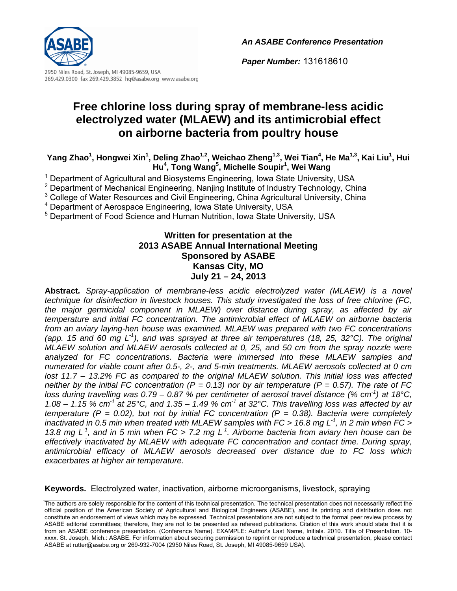*An ASABE Conference Presentation*



2950 Niles Road, St. Joseph, MI 49085-9659, USA 269.429.0300 fax 269.429.3852 hq@asabe.org www.asabe.org

# **Free chlorine loss during spray of membrane-less acidic electrolyzed water (MLAEW) and its antimicrobial effect on airborne bacteria from poultry house**

Yang Zhao<sup>1</sup>, Hongwei Xin<sup>1</sup>, Deling Zhao<sup>1,2</sup>, Weichao Zheng<sup>1,3</sup>, Wei Tian<sup>4</sup>, He Ma<sup>1,3</sup>, Kai Liu<sup>1</sup>, Hui **Hu<sup>4</sup> , Tong Wang5 , Michelle Soupir1 , Wei Wang**

<sup>1</sup> Department of Agricultural and Biosystems Engineering, Iowa State University, USA

<sup>2</sup> Department of Mechanical Engineering, Nanjing Institute of Industry Technology, China

<sup>3</sup> College of Water Resources and Civil Engineering, China Agricultural University, China

4 Department of Aerospace Engineering, Iowa State University, USA

<sup>5</sup> Department of Food Science and Human Nutrition, Iowa State University, USA

### **Written for presentation at the 2013 ASABE Annual International Meeting Sponsored by ASABE Kansas City, MO July 21 – 24, 2013**

**Abstract***. Spray-application of membrane-less acidic electrolyzed water (MLAEW) is a novel technique for disinfection in livestock houses. This study investigated the loss of free chlorine (FC, the major germicidal component in MLAEW) over distance during spray, as affected by air temperature and initial FC concentration. The antimicrobial effect of MLAEW on airborne bacteria from an aviary laying-hen house was examined. MLAEW was prepared with two FC concentrations (app. 15 and 60 mg L-1), and was sprayed at three air temperatures (18, 25, 32°C). The original MLAEW solution and MLAEW aerosols collected at 0, 25, and 50 cm from the spray nozzle were analyzed for FC concentrations. Bacteria were immersed into these MLAEW samples and numerated for viable count after 0.5-, 2-, and 5-min treatments. MLAEW aerosols collected at 0 cm lost 11.7 – 13.2% FC as compared to the original MLAEW solution. This initial loss was affected neither by the initial FC concentration (P = 0.13) nor by air temperature (P = 0.57). The rate of FC loss during travelling was 0.79 – 0.87 % per centimeter of aerosol travel distance (% cm-1) at 18°C, 1.08 – 1.15 % cm-1 at 25°C, and 1.35 – 1.49 % cm-1 at 32°C. This travelling loss was affected by air temperature (P = 0.02), but not by initial FC concentration (P = 0.38). Bacteria were completely inactivated in 0.5 min when treated with MLAEW samples with FC > 16.8 mg L-1, in 2 min when FC > 13.8 mg L-1, and in 5 min when FC > 7.2 mg L-1. Airborne bacteria from aviary hen house can be effectively inactivated by MLAEW with adequate FC concentration and contact time. During spray, antimicrobial efficacy of MLAEW aerosols decreased over distance due to FC loss which exacerbates at higher air temperature.* 

**Keywords.** Electrolyzed water, inactivation, airborne microorganisms, livestock, spraying

*Paper Number:* 131618610

The authors are solely responsible for the content of this technical presentation. The technical presentation does not necessarily reflect the official position of the American Society of Agricultural and Biological Engineers (ASABE), and its printing and distribution does not constitute an endorsement of views which may be expressed. Technical presentations are not subject to the formal peer review process by ASABE editorial committees; therefore, they are not to be presented as refereed publications. Citation of this work should state that it is from an ASABE conference presentation. (Conference Name). EXAMPLE: Author's Last Name, Initials. 2010. Title of Presentation. 10 xxxx. St. Joseph, Mich.: ASABE. For information about securing permission to reprint or reproduce a technical presentation, please contact ASABE at rutter@asabe.org or 269-932-7004 (2950 Niles Road, St. Joseph, MI 49085-9659 USA).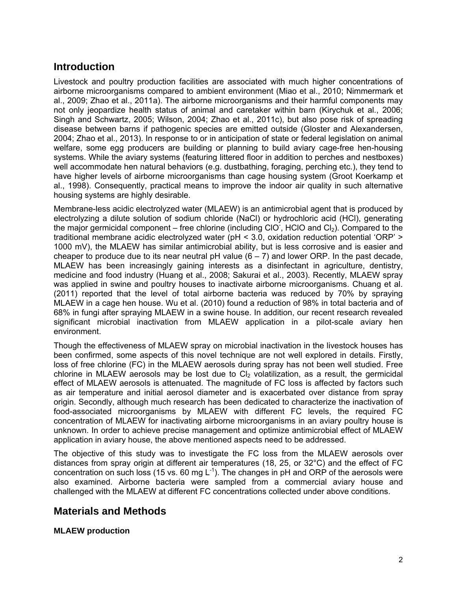# **Introduction**

Livestock and poultry production facilities are associated with much higher concentrations of airborne microorganisms compared to ambient environment (Miao et al., 2010; Nimmermark et al., 2009; Zhao et al., 2011a). The airborne microorganisms and their harmful components may not only jeopardize health status of animal and caretaker within barn (Kirychuk et al., 2006; Singh and Schwartz, 2005; Wilson, 2004; Zhao et al., 2011c), but also pose risk of spreading disease between barns if pathogenic species are emitted outside (Gloster and Alexandersen, 2004; Zhao et al., 2013). In response to or in anticipation of state or federal legislation on animal welfare, some egg producers are building or planning to build aviary cage-free hen-housing systems. While the aviary systems (featuring littered floor in addition to perches and nestboxes) well accommodate hen natural behaviors (e.g. dustbathing, foraging, perching etc.), they tend to have higher levels of airborne microorganisms than cage housing system (Groot Koerkamp et al., 1998). Consequently, practical means to improve the indoor air quality in such alternative housing systems are highly desirable.

Membrane-less acidic electrolyzed water (MLAEW) is an antimicrobial agent that is produced by electrolyzing a dilute solution of sodium chloride (NaCl) or hydrochloric acid (HCl), generating the major germicidal component – free chlorine (including CIO, HCIO and Cl<sub>2</sub>). Compared to the traditional membrane acidic electrolyzed water (pH < 3.0, oxidation reduction potential 'ORP' > 1000 mV), the MLAEW has similar antimicrobial ability, but is less corrosive and is easier and cheaper to produce due to its near neutral pH value  $(6 - 7)$  and lower ORP. In the past decade, MLAEW has been increasingly gaining interests as a disinfectant in agriculture, dentistry, medicine and food industry (Huang et al., 2008; Sakurai et al., 2003). Recently, MLAEW spray was applied in swine and poultry houses to inactivate airborne microorganisms. Chuang et al. (2011) reported that the level of total airborne bacteria was reduced by 70% by spraying MLAEW in a cage hen house. Wu et al. (2010) found a reduction of 98% in total bacteria and of 68% in fungi after spraying MLAEW in a swine house. In addition, our recent research revealed significant microbial inactivation from MLAEW application in a pilot-scale aviary hen environment.

Though the effectiveness of MLAEW spray on microbial inactivation in the livestock houses has been confirmed, some aspects of this novel technique are not well explored in details. Firstly, loss of free chlorine (FC) in the MLAEW aerosols during spray has not been well studied. Free chlorine in MLAEW aerosols may be lost due to  $Cl<sub>2</sub>$  volatilization, as a result, the germicidal effect of MLAEW aerosols is attenuated. The magnitude of FC loss is affected by factors such as air temperature and initial aerosol diameter and is exacerbated over distance from spray origin. Secondly, although much research has been dedicated to characterize the inactivation of food-associated microorganisms by MLAEW with different FC levels, the required FC concentration of MLAEW for inactivating airborne microorganisms in an aviary poultry house is unknown. In order to achieve precise management and optimize antimicrobial effect of MLAEW application in aviary house, the above mentioned aspects need to be addressed.

The objective of this study was to investigate the FC loss from the MLAEW aerosols over distances from spray origin at different air temperatures (18, 25, or 32°C) and the effect of FC concentration on such loss (15 vs. 60 mg  $L^{-1}$ ). The changes in pH and ORP of the aerosols were also examined. Airborne bacteria were sampled from a commercial aviary house and challenged with the MLAEW at different FC concentrations collected under above conditions.

# **Materials and Methods**

#### **MLAEW production**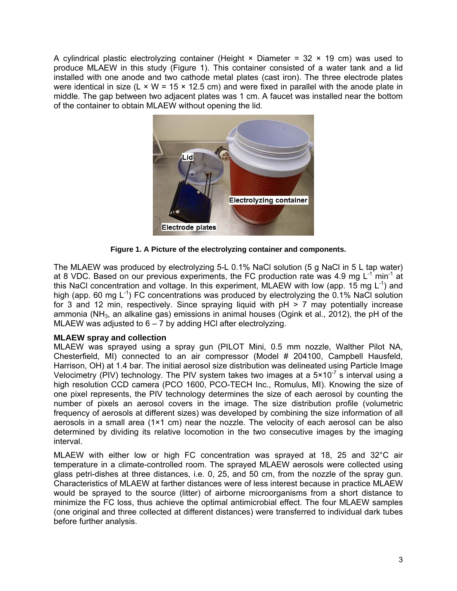A cylindrical plastic electrolyzing container (Height  $\times$  Diameter = 32  $\times$  19 cm) was used to produce MLAEW in this study (Figure 1). This container consisted of a water tank and a lid installed with one anode and two cathode metal plates (cast iron). The three electrode plates were identical in size (L  $\times$  W = 15  $\times$  12.5 cm) and were fixed in parallel with the anode plate in middle. The gap between two adjacent plates was 1 cm. A faucet was installed near the bottom of the container to obtain MLAEW without opening the lid.



**Figure 1. A Picture of the electrolyzing container and components.** 

The MLAEW was produced by electrolyzing 5-L 0.1% NaCl solution (5 g NaCl in 5 L tap water) at 8 VDC. Based on our previous experiments, the FC production rate was 4.9 mg  $L^{-1}$  min<sup>-1</sup> at this NaCl concentration and voltage. In this experiment, MLAEW with low (app. 15 mg  $L^{-1}$ ) and high (app. 60 mg  $L^{-1}$ ) FC concentrations was produced by electrolyzing the 0.1% NaCl solution for 3 and 12 min, respectively. Since spraying liquid with  $pH > 7$  may potentially increase ammonia (NH $_3$ , an alkaline gas) emissions in animal houses (Ogink et al., 2012), the pH of the MLAEW was adjusted to  $6 - 7$  by adding HCI after electrolyzing.

### **MLAEW spray and collection**

MLAEW was sprayed using a spray gun (PILOT Mini, 0.5 mm nozzle, Walther Pilot NA, Chesterfield, MI) connected to an air compressor (Model # 204100, Campbell Hausfeld, Harrison, OH) at 1.4 bar. The initial aerosol size distribution was delineated using Particle Image Velocimetry (PIV) technology. The PIV system takes two images at a  $5 \times 10^{-7}$  s interval using a high resolution CCD camera (PCO 1600, PCO-TECH Inc., Romulus, MI). Knowing the size of one pixel represents, the PIV technology determines the size of each aerosol by counting the number of pixels an aerosol covers in the image. The size distribution profile (volumetric frequency of aerosols at different sizes) was developed by combining the size information of all aerosols in a small area (1×1 cm) near the nozzle. The velocity of each aerosol can be also determined by dividing its relative locomotion in the two consecutive images by the imaging interval.

MLAEW with either low or high FC concentration was sprayed at 18, 25 and 32°C air temperature in a climate-controlled room. The sprayed MLAEW aerosols were collected using glass petri-dishes at three distances, i.e. 0, 25, and 50 cm, from the nozzle of the spray gun. Characteristics of MLAEW at farther distances were of less interest because in practice MLAEW would be sprayed to the source (litter) of airborne microorganisms from a short distance to minimize the FC loss, thus achieve the optimal antimicrobial effect. The four MLAEW samples (one original and three collected at different distances) were transferred to individual dark tubes before further analysis.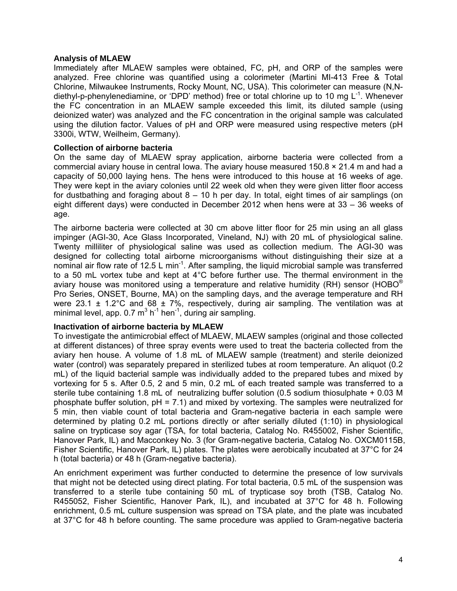#### **Analysis of MLAEW**

Immediately after MLAEW samples were obtained, FC, pH, and ORP of the samples were analyzed. Free chlorine was quantified using a colorimeter (Martini MI-413 Free & Total Chlorine, Milwaukee Instruments, Rocky Mount, NC, USA). This colorimeter can measure (N,Ndiethyl-p-phenylenediamine, or 'DPD' method) free or total chlorine up to 10 mg  $L^{-1}$ . Whenever the FC concentration in an MLAEW sample exceeded this limit, its diluted sample (using deionized water) was analyzed and the FC concentration in the original sample was calculated using the dilution factor. Values of pH and ORP were measured using respective meters (pH 3300i, WTW, Weilheim, Germany).

#### **Collection of airborne bacteria**

On the same day of MLAEW spray application, airborne bacteria were collected from a commercial aviary house in central lowa. The aviary house measured  $150.8 \times 21.4$  m and had a capacity of 50,000 laying hens. The hens were introduced to this house at 16 weeks of age. They were kept in the aviary colonies until 22 week old when they were given litter floor access for dustbathing and foraging about 8 – 10 h per day. In total, eight times of air samplings (on eight different days) were conducted in December 2012 when hens were at 33 – 36 weeks of age.

The airborne bacteria were collected at 30 cm above litter floor for 25 min using an all glass impinger (AGI-30, Ace Glass Incorporated, Vineland, NJ) with 20 mL of physiological saline. Twenty milliliter of physiological saline was used as collection medium. The AGI-30 was designed for collecting total airborne microorganisms without distinguishing their size at a nominal air flow rate of 12.5 L min<sup>-1</sup>. After sampling, the liquid microbial sample was transferred to a 50 mL vortex tube and kept at 4°C before further use. The thermal environment in the aviary house was monitored using a temperature and relative humidity (RH) sensor (HOBO<sup>®</sup> Pro Series, ONSET, Bourne, MA) on the sampling days, and the average temperature and RH were 23.1  $\pm$  1.2°C and 68  $\pm$  7%, respectively, during air sampling. The ventilation was at minimal level, app.  $0.7 \text{ m}^3 \text{ h}^{-1}$  hen<sup>-1</sup>, during air sampling.

#### **Inactivation of airborne bacteria by MLAEW**

To investigate the antimicrobial effect of MLAEW, MLAEW samples (original and those collected at different distances) of three spray events were used to treat the bacteria collected from the aviary hen house. A volume of 1.8 mL of MLAEW sample (treatment) and sterile deionized water (control) was separately prepared in sterilized tubes at room temperature. An aliquot (0.2 mL) of the liquid bacterial sample was individually added to the prepared tubes and mixed by vortexing for 5 s. After 0.5, 2 and 5 min, 0.2 mL of each treated sample was transferred to a sterile tube containing 1.8 mL of neutralizing buffer solution (0.5 sodium thiosulphate + 0.03 M phosphate buffer solution,  $pH = 7.1$ ) and mixed by vortexing. The samples were neutralized for 5 min, then viable count of total bacteria and Gram-negative bacteria in each sample were determined by plating 0.2 mL portions directly or after serially diluted (1:10) in physiological saline on trypticase soy agar (TSA, for total bacteria, Catalog No. R455002, Fisher Scientific, Hanover Park, IL) and Macconkey No. 3 (for Gram-negative bacteria, Catalog No. OXCM0115B, Fisher Scientific, Hanover Park, IL) plates. The plates were aerobically incubated at 37°C for 24 h (total bacteria) or 48 h (Gram-negative bacteria).

An enrichment experiment was further conducted to determine the presence of low survivals that might not be detected using direct plating. For total bacteria, 0.5 mL of the suspension was transferred to a sterile tube containing 50 mL of trypticase soy broth (TSB, Catalog No. R455052, Fisher Scientific, Hanover Park, IL), and incubated at 37°C for 48 h. Following enrichment, 0.5 mL culture suspension was spread on TSA plate, and the plate was incubated at 37°C for 48 h before counting. The same procedure was applied to Gram-negative bacteria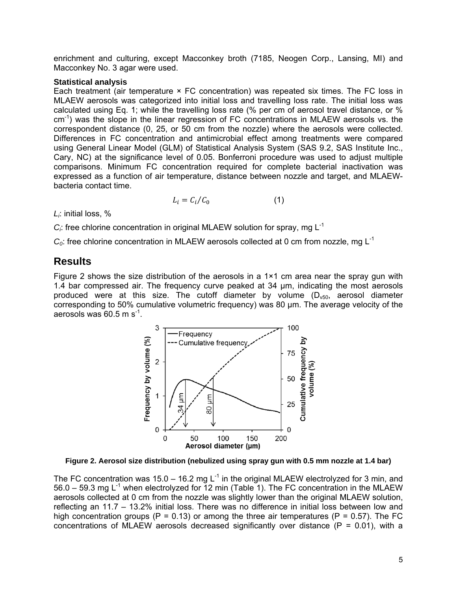enrichment and culturing, except Macconkey broth (7185, Neogen Corp., Lansing, MI) and Macconkey No. 3 agar were used.

#### **Statistical analysis**

Each treatment (air temperature × FC concentration) was repeated six times. The FC loss in MLAEW aerosols was categorized into initial loss and travelling loss rate. The initial loss was calculated using Eq. 1; while the travelling loss rate (% per cm of aerosol travel distance, or %  $cm<sup>-1</sup>$ ) was the slope in the linear regression of FC concentrations in MLAEW aerosols vs. the correspondent distance (0, 25, or 50 cm from the nozzle) where the aerosols were collected. Differences in FC concentration and antimicrobial effect among treatments were compared using General Linear Model (GLM) of Statistical Analysis System (SAS 9.2, SAS Institute Inc., Cary, NC) at the significance level of 0.05. Bonferroni procedure was used to adjust multiple comparisons. Minimum FC concentration required for complete bacterial inactivation was expressed as a function of air temperature, distance between nozzle and target, and MLAEWbacteria contact time.

$$
L_i = C_i / C_0 \tag{1}
$$

*Li*: initial loss, %

 $C_i$ : free chlorine concentration in original MLAEW solution for spray, mg  $L^{-1}$ 

 $C<sub>0</sub>$ : free chlorine concentration in MLAEW aerosols collected at 0 cm from nozzle, mg L<sup>-1</sup>

### **Results**

Figure 2 shows the size distribution of the aerosols in a  $1 \times 1$  cm area near the spray gun with 1.4 bar compressed air. The frequency curve peaked at 34 µm, indicating the most aerosols produced were at this size. The cutoff diameter by volume  $(D<sub>v50</sub>)$ , aerosol diameter corresponding to 50% cumulative volumetric frequency) was 80 µm. The average velocity of the aerosols was 60.5 m  $s^{-1}$ .



**Figure 2. Aerosol size distribution (nebulized using spray gun with 0.5 mm nozzle at 1.4 bar)**

The FC concentration was 15.0 – 16.2 mg  $L^{-1}$  in the original MLAEW electrolyzed for 3 min, and  $56.0 - 59.3$  mg L<sup>-1</sup> when electrolyzed for 12 min (Table 1). The FC concentration in the MLAEW aerosols collected at 0 cm from the nozzle was slightly lower than the original MLAEW solution, reflecting an 11.7 – 13.2% initial loss. There was no difference in initial loss between low and high concentration groups (P = 0.13) or among the three air temperatures (P = 0.57). The FC concentrations of MLAEW aerosols decreased significantly over distance ( $P = 0.01$ ), with a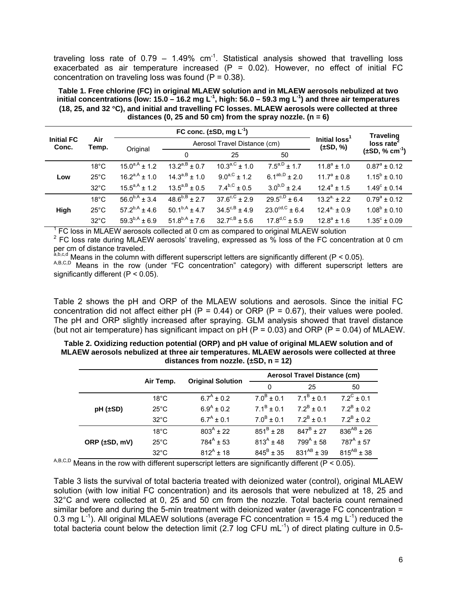traveling loss rate of 0.79 – 1.49%  $cm^{-1}$ . Statistical analysis showed that travelling loss exacerbated as air temperature increased  $(P = 0.02)$ . However, no effect of initial FC concentration on traveling loss was found  $(P = 0.38)$ .

**Table 1. Free chlorine (FC) in original MLAEW solution and in MLAEW aerosols nebulized at two initial concentrations (low: 15.0 – 16.2 mg L-1, high: 56.0 – 59.3 mg L-1) and three air temperatures (18, 25, and 32 C), and initial and travelling FC losses. MLAEW aerosols were collected at three distances (0, 25 and 50 cm) from the spray nozzle. (n = 6)** 

| <b>Initial FC</b><br>Conc. | Air<br>Temp.   | FC conc. $(\pm SD, mg L^{-1})$ |                              |                             |                              |                                           | <b>Traveling</b>        |
|----------------------------|----------------|--------------------------------|------------------------------|-----------------------------|------------------------------|-------------------------------------------|-------------------------|
|                            |                | Original                       | Aerosol Travel Distance (cm) |                             |                              | Initial loss <sup>1</sup><br>$(\pm SD, %$ | loss rate <sup>2</sup>  |
|                            |                |                                | $\Omega$                     | 25                          | 50                           |                                           | $(\pm SD, \% cm^{-1})$  |
| Low                        | $18^{\circ}$ C | $15.0^{a,A}$ ± 1.2             | $13.2^{a,B} \pm 0.7$         | $10.3^{a,C}$ ± 1.0          | $7.5^{a,D}$ ± 1.7            | $11.8^a + 1.0$                            | $0.87^a \pm 0.12$       |
|                            | $25^{\circ}$ C | $16.2^{a,A}$ ± 1.0             | $14.3^{a,B} \pm 1.0$         | $9.0^{a,C}$ ± 1.2           | $6.1^{ab,D} \pm 2.0$         | $11.7^a \pm 0.8$                          | $1.15^b \pm 0.10$       |
|                            | $32^{\circ}$ C | $15.5^{a,A}$ ± 1.2             | $13.5^{a,B} \pm 0.5$         | $7.4^{b,C}$ ± 0.5           | $3.0^{b,D} \pm 2.4$          | $12.4^a \pm 1.5$                          | $1.49^{\circ} \pm 0.14$ |
| High                       | $18^{\circ}$ C | $56.0^{b,A} \pm 3.4$           | $48.6^{b,B} \pm 2.7$         | $37.6^{\text{c,C}} \pm 2.9$ | $29.5^{c,D} \pm 6.4$         | $13.2^{a}$ ± 2.2                          | $0.79^a \pm 0.12$       |
|                            | $25^{\circ}$ C | $57.2^{b,A}$ ± 4.6             | $50.1^{b,A}$ ± 4.7           | $34.5^{\text{c,B}} \pm 4.9$ | $23.0^{\text{cd,C}} \pm 6.4$ | $12.4^{a}$ ± 0.9                          | $1.08^b \pm 0.10$       |
|                            | $32^{\circ}$ C | $59.3^{b,A}$ ± 6.9             | $51.8^{b,A}$ ± 7.6           | $32.7^{c,B} \pm 5.6$        | $17.8^{d,C}$ ± 5.9           | $12.8^a \pm 1.6$                          | $1.35^{\circ} \pm 0.09$ |

 $\frac{1}{1}$  FC loss in MLAEW aerosols collected at 0 cm as compared to original MLAEW solution  $\frac{2}{1}$  FC loss rate during MLAFW sorrespolic traveling, expressed as  $\frac{0}{1}$  less of the FC senset

 $2$  FC loss rate during MLAEW aerosols' traveling, expressed as  $\%$  loss of the FC concentration at 0 cm per cm of distance traveled.<br>a,b,c,d Means in the column with different superscript letters are significantly different (P < 0.05).

A,B,C,D Means in the row (under "FC concentration" category) with different superscript letters are significantly different ( $P < 0.05$ ).

Table 2 shows the pH and ORP of the MLAEW solutions and aerosols. Since the initial FC concentration did not affect either  $pH$  (P = 0.44) or ORP (P = 0.67), their values were pooled. The pH and ORP slightly increased after spraying. GLM analysis showed that travel distance (but not air temperature) has significant impact on  $pH$  (P = 0.03) and ORP (P = 0.04) of MLAEW.

| Table 2. Oxidizing reduction potential (ORP) and pH value of original MLAEW solution and of |
|---------------------------------------------------------------------------------------------|
| MLAEW aerosols nebulized at three air temperatures. MLAEW aerosols were collected at three  |
| distances from nozzle. $(\pm SD, n = 12)$                                                   |

|               |                |                          | Aerosol Travel Distance (cm) |                   |                     |  |
|---------------|----------------|--------------------------|------------------------------|-------------------|---------------------|--|
|               | Air Temp.      | <b>Original Solution</b> | $\Omega$                     | 25                | 50                  |  |
|               | $18^{\circ}$ C | $6.7^A \pm 0.2$          | $7.0^{\rm B} \pm 0.1$        | $7.1^B \pm 0.1$   | $7.2^{\circ}$ ± 0.1 |  |
| $pH (\pm SD)$ | $25^{\circ}$ C | $6.9^{A} \pm 0.2$        | $7.1^B \pm 0.1$              | $7.2^B \pm 0.1$   | $7.2^B \pm 0.2$     |  |
|               | $32^{\circ}$ C | $6.7^A \pm 0.1$          | $7.0^B \pm 0.1$              | $7.2^B \pm 0.1$   | $7.2^B \pm 0.2$     |  |
|               | $18^{\circ}$ C | $803^{A}$ ± 22           | $851^B \pm 28$               | $847^B \pm 27$    | $836^{AB} \pm 26$   |  |
| ORP (±SD, mV) | $25^{\circ}$ C | $784^{A}$ ± 53           | $813^{A}$ ± 48               | $799^{A}$ ± 58    | $787^A \pm 57$      |  |
|               | $32^{\circ}$ C | $812^{A}$ ± 18           | $845^{\rm B} \pm 35$         | $831^{AB} \pm 39$ | $815^{AB} + 38$     |  |

A,B,C,D Means in the row with different superscript letters are significantly different ( $P < 0.05$ ).

Table 3 lists the survival of total bacteria treated with deionized water (control), original MLAEW solution (with low initial FC concentration) and its aerosols that were nebulized at 18, 25 and 32°C and were collected at 0, 25 and 50 cm from the nozzle. Total bacteria count remained similar before and during the 5-min treatment with deionized water (average FC concentration = 0.3 mg  $L^{-1}$ ). All original MLAEW solutions (average FC concentration = 15.4 mg  $L^{-1}$ ) reduced the total bacteria count below the detection limit (2.7 log CFU mL $^{-1}$ ) of direct plating culture in 0.5-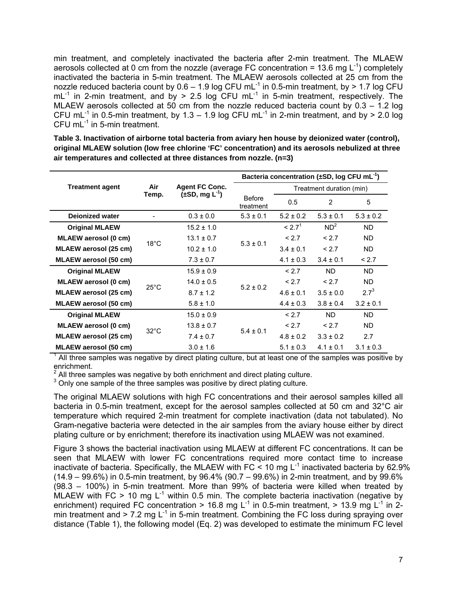min treatment, and completely inactivated the bacteria after 2-min treatment. The MLAEW aerosols collected at 0 cm from the nozzle (average FC concentration = 13.6 mg  $L^{-1}$ ) completely inactivated the bacteria in 5-min treatment. The MLAEW aerosols collected at 25 cm from the nozzle reduced bacteria count by  $0.6 - 1.9$  log CFU mL<sup>-1</sup> in 0.5-min treatment, by > 1.7 log CFU  $mL^{-1}$  in 2-min treatment, and by > 2.5 log CFU mL<sup>-1</sup> in 5-min treatment, respectively. The MLAEW aerosols collected at 50 cm from the nozzle reduced bacteria count by 0.3 – 1.2 log CFU mL<sup>-1</sup> in 0.5-min treatment, by 1.3 – 1.9 log CFU mL<sup>-1</sup> in 2-min treatment, and by > 2.0 log CFU  $mL^{-1}$  in 5-min treatment.

**Table 3. Inactivation of airborne total bacteria from aviary hen house by deionized water (control), original MLAEW solution (low free chlorine 'FC' concentration) and its aerosols nebulized at three air temperatures and collected at three distances from nozzle. (n=3)** 

|                        | Air<br>Temp.   | <b>Agent FC Conc.</b><br>$(\pm SD, mg L^{-1})$ | Bacteria concentration ( $\pm$ SD, log CFU mL <sup>-1</sup> ) |                          |                 |               |
|------------------------|----------------|------------------------------------------------|---------------------------------------------------------------|--------------------------|-----------------|---------------|
| <b>Treatment agent</b> |                |                                                |                                                               | Treatment duration (min) |                 |               |
|                        |                |                                                | <b>Before</b><br>treatment                                    | 0.5                      | 2               | 5             |
| <b>Deionized water</b> |                | $0.3 \pm 0.0$                                  | $5.3 \pm 0.1$                                                 | $5.2 \pm 0.2$            | $5.3 \pm 0.1$   | $5.3 \pm 0.2$ |
| <b>Original MLAEW</b>  |                | $15.2 \pm 1.0$                                 | $5.3 \pm 0.1$                                                 | < 2.7 <sup>1</sup>       | ND <sup>2</sup> | <b>ND</b>     |
| MLAEW aerosol (0 cm)   | $18^{\circ}$ C | $13.1 \pm 0.7$                                 |                                                               | < 2.7                    | < 2.7           | ND.           |
| MLAEW aerosol (25 cm)  |                | $10.2 \pm 1.0$                                 |                                                               | $3.4 \pm 0.1$            | < 2.7           | ND.           |
| MLAEW aerosol (50 cm)  |                | $7.3 \pm 0.7$                                  |                                                               | $4.1 \pm 0.3$            | $3.4 \pm 0.1$   | < 2.7         |
| <b>Original MLAEW</b>  |                | $15.9 \pm 0.9$                                 | $5.2 \pm 0.2$                                                 | < 2.7                    | ND.             | ND.           |
| MLAEW aerosol (0 cm)   | $25^{\circ}$ C | $14.0 \pm 0.5$                                 |                                                               | < 2.7                    | < 2.7           | <b>ND</b>     |
| MLAEW aerosol (25 cm)  |                | $8.7 \pm 1.2$                                  |                                                               | $4.6 \pm 0.1$            | $3.5 \pm 0.0$   | $2.7^{3}$     |
| MLAEW aerosol (50 cm)  |                | $5.8 \pm 1.0$                                  |                                                               | $4.4 \pm 0.3$            | $3.8 \pm 0.4$   | $3.2 \pm 0.1$ |
| <b>Original MLAEW</b>  |                | $15.0 \pm 0.9$                                 | $5.4 \pm 0.1$                                                 | < 2.7                    | ND.             | ND.           |
| MLAEW aerosol (0 cm)   | $32^{\circ}$ C | $13.8 \pm 0.7$                                 |                                                               | < 2.7                    | < 2.7           | ND.           |
| MLAEW aerosol (25 cm)  |                | $7.4 \pm 0.7$                                  |                                                               | $4.8 \pm 0.2$            | $3.3 \pm 0.2$   | 2.7           |
| MLAEW aerosol (50 cm)  |                | $3.0 \pm 1.6$                                  |                                                               | $5.1 \pm 0.3$            | $4.1 \pm 0.1$   | $3.1 \pm 0.3$ |

1 All three samples was negative by direct plating culture, but at least one of the samples was positive by enrichment.

<sup>2</sup> All three samples was negative by both enrichment and direct plating culture.<br><sup>3</sup> Only and sample of the three samples was positive by direct plating sulture.

<sup>3</sup> Only one sample of the three samples was positive by direct plating culture.

The original MLAEW solutions with high FC concentrations and their aerosol samples killed all bacteria in 0.5-min treatment, except for the aerosol samples collected at 50 cm and 32°C air temperature which required 2-min treatment for complete inactivation (data not tabulated). No Gram-negative bacteria were detected in the air samples from the aviary house either by direct plating culture or by enrichment; therefore its inactivation using MLAEW was not examined.

Figure 3 shows the bacterial inactivation using MLAEW at different FC concentrations. It can be seen that MLAEW with lower FC concentrations required more contact time to increase inactivate of bacteria. Specifically, the MLAEW with FC  $\leq$  10 mg L<sup>-1</sup> inactivated bacteria by 62.9% (14.9 – 99.6%) in 0.5-min treatment, by 96.4% (90.7 – 99.6%) in 2-min treatment, and by 99.6% (98.3 – 100%) in 5-min treatment. More than 99% of bacteria were killed when treated by MLAEW with FC  $> 10$  mg L<sup>-1</sup> within 0.5 min. The complete bacteria inactivation (negative by enrichment) required FC concentration > 16.8 mg L<sup>-1</sup> in 0.5-min treatment, > 13.9 mg L<sup>-1</sup> in 2min treatment and  $> 7.2$  mg L<sup>-1</sup> in 5-min treatment. Combining the FC loss during spraying over distance (Table 1), the following model (Eq. 2) was developed to estimate the minimum FC level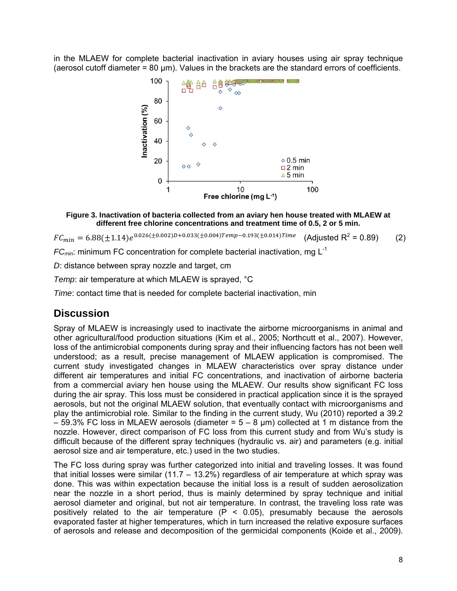in the MLAEW for complete bacterial inactivation in aviary houses using air spray technique (aerosol cutoff diameter = 80 µm). Values in the brackets are the standard errors of coefficients.



#### **Figure 3. Inactivation of bacteria collected from an aviary hen house treated with MLAEW at different free chlorine concentrations and treatment time of 0.5, 2 or 5 min.**

 $FC_{min} = 6.88(\pm 1.14)e^{0.026(\pm 0.002)D + 0.033(\pm 0.004)Temp - 0.193(\pm 0.014)Time}$  (Adjusted R<sup>2</sup> (Adjusted R<sup>2</sup> = 0.89) (2)

*FC<sub>min</sub>*: minimum FC concentration for complete bacterial inactivation, mg L<sup>-1</sup>

*D*: distance between spray nozzle and target, cm

*Temp*: air temperature at which MLAEW is sprayed, °C

*Time*: contact time that is needed for complete bacterial inactivation, min

### **Discussion**

Spray of MLAEW is increasingly used to inactivate the airborne microorganisms in animal and other agricultural/food production situations (Kim et al., 2005; Northcutt et al., 2007). However, loss of the antimicrobial components during spray and their influencing factors has not been well understood; as a result, precise management of MLAEW application is compromised. The current study investigated changes in MLAEW characteristics over spray distance under different air temperatures and initial FC concentrations, and inactivation of airborne bacteria from a commercial aviary hen house using the MLAEW. Our results show significant FC loss during the air spray. This loss must be considered in practical application since it is the sprayed aerosols, but not the original MLAEW solution, that eventually contact with microorganisms and play the antimicrobial role. Similar to the finding in the current study, Wu (2010) reported a 39.2  $-59.3\%$  FC loss in MLAEW aerosols (diameter =  $5 - 8 \mu m$ ) collected at 1 m distance from the nozzle. However, direct comparison of FC loss from this current study and from Wu's study is difficult because of the different spray techniques (hydraulic vs. air) and parameters (e.g. initial aerosol size and air temperature, etc.) used in the two studies.

The FC loss during spray was further categorized into initial and traveling losses. It was found that initial losses were similar  $(11.7 - 13.2\%)$  regardless of air temperature at which spray was done. This was within expectation because the initial loss is a result of sudden aerosolization near the nozzle in a short period, thus is mainly determined by spray technique and initial aerosol diameter and original, but not air temperature. In contrast, the traveling loss rate was positively related to the air temperature  $(P < 0.05)$ , presumably because the aerosols evaporated faster at higher temperatures, which in turn increased the relative exposure surfaces of aerosols and release and decomposition of the germicidal components (Koide et al., 2009).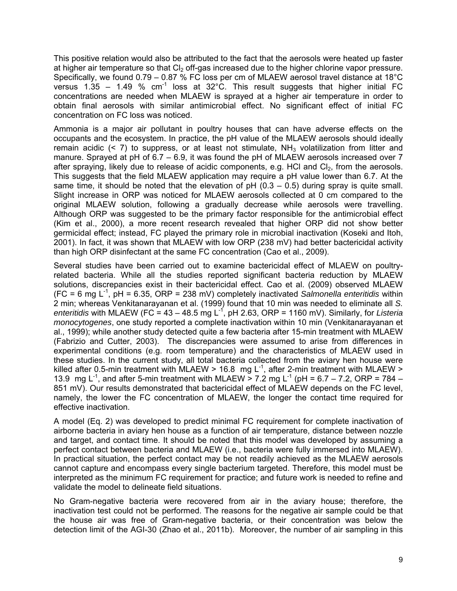This positive relation would also be attributed to the fact that the aerosols were heated up faster at higher air temperature so that  $Cl<sub>2</sub>$  off-gas increased due to the higher chlorine vapor pressure. Specifically, we found 0.79 – 0.87 % FC loss per cm of MLAEW aerosol travel distance at 18°C versus 1.35 – 1.49 %  $cm^{-1}$  loss at 32°C. This result suggests that higher initial FC concentrations are needed when MLAEW is sprayed at a higher air temperature in order to obtain final aerosols with similar antimicrobial effect. No significant effect of initial FC concentration on FC loss was noticed.

Ammonia is a major air pollutant in poultry houses that can have adverse effects on the occupants and the ecosystem. In practice, the pH value of the MLAEW aerosols should ideally remain acidic  $(2, 7)$  to suppress, or at least not stimulate,  $NH<sub>3</sub>$  volatilization from litter and manure. Sprayed at pH of 6.7 – 6.9, it was found the pH of MLAEW aerosols increased over 7 after spraying, likely due to release of acidic components, e.g. HCl and  $Cl<sub>2</sub>$ , from the aerosols. This suggests that the field MLAEW application may require a pH value lower than 6.7. At the same time, it should be noted that the elevation of  $pH (0.3 - 0.5)$  during spray is quite small. Slight increase in ORP was noticed for MLAEW aerosols collected at 0 cm compared to the original MLAEW solution, following a gradually decrease while aerosols were travelling. Although ORP was suggested to be the primary factor responsible for the antimicrobial effect (Kim et al., 2000), a more recent research revealed that higher ORP did not show better germicidal effect; instead, FC played the primary role in microbial inactivation (Koseki and Itoh, 2001). In fact, it was shown that MLAEW with low ORP (238 mV) had better bactericidal activity than high ORP disinfectant at the same FC concentration (Cao et al., 2009).

Several studies have been carried out to examine bactericidal effect of MLAEW on poultryrelated bacteria. While all the studies reported significant bacteria reduction by MLAEW solutions, discrepancies exist in their bactericidal effect. Cao et al. (2009) observed MLAEW  $(FC = 6 \text{ mg } L^{-1}$ , pH = 6.35, ORP = 238 mV) completely inactivated *Salmonella enteritidis* within 2 min; whereas Venkitanarayanan et al. (1999) found that 10 min was needed to eliminate all *S. enteritidis* with MLAEW (FC =  $43 - 48.5$  mg L<sup>-1</sup>, pH 2.63, ORP = 1160 mV). Similarly, for *Listeria monocytogenes*, one study reported a complete inactivation within 10 min (Venkitanarayanan et al., 1999); while another study detected quite a few bacteria after 15-min treatment with MLAEW (Fabrizio and Cutter, 2003). The discrepancies were assumed to arise from differences in experimental conditions (e.g. room temperature) and the characteristics of MLAEW used in these studies. In the current study, all total bacteria collected from the aviary hen house were killed after 0.5-min treatment with MLAEW > 16.8 mg  $L^{-1}$ , after 2-min treatment with MLAEW > 13.9 mg L<sup>-1</sup>, and after 5-min treatment with MLAEW  $>$  7.2 mg L<sup>-1</sup> (pH = 6.7 – 7.2, ORP = 784 – 851 mV). Our results demonstrated that bactericidal effect of MLAEW depends on the FC level, namely, the lower the FC concentration of MLAEW, the longer the contact time required for effective inactivation.

A model (Eq. 2) was developed to predict minimal FC requirement for complete inactivation of airborne bacteria in aviary hen house as a function of air temperature, distance between nozzle and target, and contact time. It should be noted that this model was developed by assuming a perfect contact between bacteria and MLAEW (i.e., bacteria were fully immersed into MLAEW). In practical situation, the perfect contact may be not readily achieved as the MLAEW aerosols cannot capture and encompass every single bacterium targeted. Therefore, this model must be interpreted as the minimum FC requirement for practice; and future work is needed to refine and validate the model to delineate field situations.

No Gram-negative bacteria were recovered from air in the aviary house; therefore, the inactivation test could not be performed. The reasons for the negative air sample could be that the house air was free of Gram-negative bacteria, or their concentration was below the detection limit of the AGI-30 (Zhao et al., 2011b). Moreover, the number of air sampling in this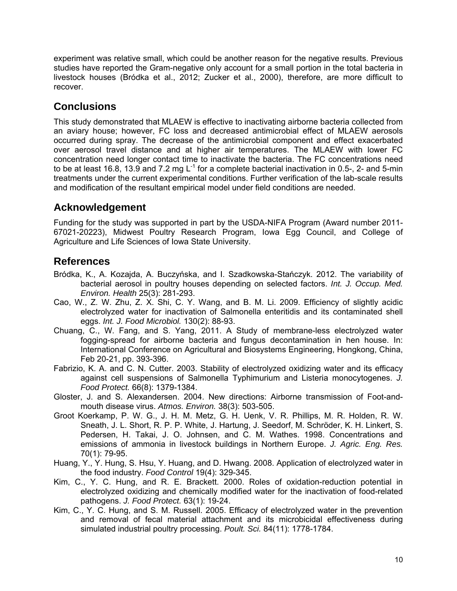experiment was relative small, which could be another reason for the negative results. Previous studies have reported the Gram-negative only account for a small portion in the total bacteria in livestock houses (Bródka et al., 2012; Zucker et al., 2000), therefore, are more difficult to recover.

# **Conclusions**

This study demonstrated that MLAEW is effective to inactivating airborne bacteria collected from an aviary house; however, FC loss and decreased antimicrobial effect of MLAEW aerosols occurred during spray. The decrease of the antimicrobial component and effect exacerbated over aerosol travel distance and at higher air temperatures. The MLAEW with lower FC concentration need longer contact time to inactivate the bacteria. The FC concentrations need to be at least 16.8, 13.9 and 7.2 mg  $L^{-1}$  for a complete bacterial inactivation in 0.5-, 2- and 5-min treatments under the current experimental conditions. Further verification of the lab-scale results and modification of the resultant empirical model under field conditions are needed.

### **Acknowledgement**

Funding for the study was supported in part by the USDA-NIFA Program (Award number 2011- 67021-20223), Midwest Poultry Research Program, Iowa Egg Council, and College of Agriculture and Life Sciences of Iowa State University.

# **References**

- Bródka, K., A. Kozajda, A. Buczyńska, and I. Szadkowska-Stańczyk. 2012. The variability of bacterial aerosol in poultry houses depending on selected factors. *Int. J. Occup. Med. Environ. Health* 25(3): 281-293.
- Cao, W., Z. W. Zhu, Z. X. Shi, C. Y. Wang, and B. M. Li. 2009. Efficiency of slightly acidic electrolyzed water for inactivation of Salmonella enteritidis and its contaminated shell eggs. *Int. J. Food Microbiol.* 130(2): 88-93.
- Chuang, C., W. Fang, and S. Yang, 2011. A Study of membrane-less electrolyzed water fogging-spread for airborne bacteria and fungus decontamination in hen house. In: International Conference on Agricultural and Biosystems Engineering, Hongkong, China, Feb 20-21, pp. 393-396.
- Fabrizio, K. A. and C. N. Cutter. 2003. Stability of electrolyzed oxidizing water and its efficacy against cell suspensions of Salmonella Typhimurium and Listeria monocytogenes. *J. Food Protect.* 66(8): 1379-1384.
- Gloster, J. and S. Alexandersen. 2004. New directions: Airborne transmission of Foot-andmouth disease virus. *Atmos. Environ.* 38(3): 503-505.
- Groot Koerkamp, P. W. G., J. H. M. Metz, G. H. Uenk, V. R. Phillips, M. R. Holden, R. W. Sneath, J. L. Short, R. P. P. White, J. Hartung, J. Seedorf, M. Schröder, K. H. Linkert, S. Pedersen, H. Takai, J. O. Johnsen, and C. M. Wathes. 1998. Concentrations and emissions of ammonia in livestock buildings in Northern Europe. *J. Agric. Eng. Res.*  70(1): 79-95.
- Huang, Y., Y. Hung, S. Hsu, Y. Huang, and D. Hwang. 2008. Application of electrolyzed water in the food industry. *Food Control* 19(4): 329-345.
- Kim, C., Y. C. Hung, and R. E. Brackett. 2000. Roles of oxidation-reduction potential in electrolyzed oxidizing and chemically modified water for the inactivation of food-related pathogens. *J. Food Protect.* 63(1): 19-24.
- Kim, C., Y. C. Hung, and S. M. Russell. 2005. Efficacy of electrolyzed water in the prevention and removal of fecal material attachment and its microbicidal effectiveness during simulated industrial poultry processing. *Poult. Sci.* 84(11): 1778-1784.